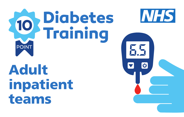

Adult inpatient teams

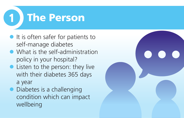

- $\bullet$  It is often safer for patients to self-manage diabetes
- $\bullet$  What is the self-administration policy in your hospital?
- $\bullet$  Listen to the person: they live with their diabetes 365 days a year
- $\bullet$  Diabetes is a challenging condition which can impact wellbeing

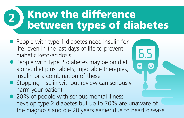# 2) Know the difference<br>between types of diabetes

- People with type 1 diabetes need insulin for life: even in the last days of life to prevent diabetic keto-acidosis
- People with Type 2 diabetes may be on diet alone, diet plus tablets, injectable therapies, insulin or a combination of these
- $\bullet$  Stopping insulin without review can seriously harm your patient
- 20% of people with serious mental illness develop type 2 diabetes but up to 70% are unaware of the diagnosis and die 20 years earlier due to heart disease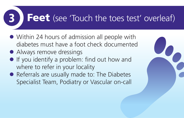## **3 Feet** (see 'Touch the toes test' overleaf)

- Within 24 hours of admission all people with diabetes must have a foot check documented
- Always remove dressings
- $\bullet$  If you identify a problem: find out how and where to refer in your locality
- Referrals are usually made to: The Diabetes Specialist Team, Podiatry or Vascular on-call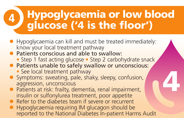# Hypoglycaemia or low blood glucose ('4 is the floor') <sup>4</sup>

- l Hypoglycaemia can kill and must be treated immediately: know your local treatment pathway
- Patients conscious and able to swallow:
	- Step 1 fast acting glucose Step 2 carbohydrate snack

4

- Patients unable to safely swallow or unconscious:
	- See local treatment pathway
- Symptoms: sweating, pale, shaky, sleepy, confusion, aggression, unconscious
- Patients at risk: frailty, dementia, renal impairment, insulin or sulfonylurea treatment, poor appetite
- l Refer to the diabetes team if severe or recurrent
- l Hypoglycaemia requiring IM glucagon should be reported to the National Diabetes In-patient Harms Audit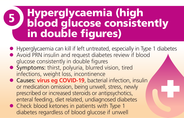### Hyperglycaemia (high blood glucose consistently in double figures) 5

- l Hyperglycaemia can kill if left untreated, especially in Type 1 diabetes
- Avoid PRN insulin and request diabetes review if blood glucose consistently in double figures
- $\bullet$  Symptoms: thirst, polyuria, blurred vision, tired infections, weight loss, incontinence
- **Causes: virus eg COVID-19**, bacterial infection, insulin or medication omission, being unwell, stress, newly prescribed or increased steroids or antipsychotics, enteral feeding, diet related, undiagnosed diabetes
- Check blood ketones in patients with Type 1 diabetes regardless of blood glucose if unwell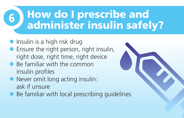## $6$ ) How do I prescribe and<br>administer insulin safely?

- $\bullet$  Insulin is a high risk drug
- **•** Ensure the right person, right insulin, right dose, right time, right device
- $\bullet$  Be familiar with the common insulin profiles
- $\bullet$  Never omit long acting insulin: ask if unsure
- $\bullet$  Be familiar with local prescribing quidelines

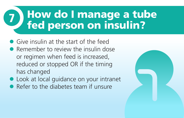## 7) How do I manage a tube<br>Thed person on insulin?

- **Give insulin at the start of the feed**
- **Remember to review the insulin dose** or regimen when feed is increased, reduced or stopped OR if the timing has changed
- **.** Look at local guidance on your intranet
- **Refer to the diabetes team if unsure**

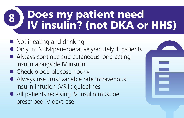# 8 Does my patient need<br>IV insulin? (not DKA or HHS)

- Not if eating and drinking
- Only in: NBM/peri-operatively/acutely ill patients
- $\bullet$  Always continue sub cutaneous long acting insulin alongside IV insulin
- Check blood glucose hourly
- Always use Trust variable rate intravenous insulin infusion (VRIII) guidelines
- $\bullet$  All patients receiving IV insulin must be prescribed IV dextrose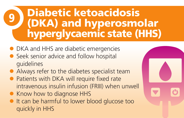### Diabetic ketoacidosis (DKA) and hyperosmolar hyperglycaemic state (HHS) 9

- **DKA and HHS are diabetic emergencies**
- l Seek senior advice and follow hospital guidelines
- Always refer to the diabetes specialist team
- Patients with DKA will require fixed rate intravenous insulin infusion (FRIII) when unwell
- Know how to diagnose HHS
- It can be harmful to lower blood glucose too quickly in HHS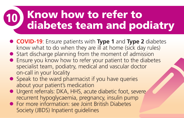# 10 Know how to refer to<br>diabetes team and podiatry

- l **COVID-19**: Ensure patients with **[Type 1](https://trend-uk.org/wp-content/uploads/2020/03/A5_T1Illness_TREND_FINAL.pdf)** and **[Type 2](https://trend-uk.org/wp-content/uploads/2020/03/A5_T1Illness_TREND_FINAL.pdf)** diabetes know what to do when they are ill at home (sick day rules)
- **•** Start discharge planning from the moment of admission
- **•** Ensure you know how to refer your patient to the diabetes specialist team, podiatry, medical and vascular doctor on-call in your locality
- $\bullet$  Speak to the ward pharmacist if you have queries about your patient's medication
- **·** Urgent referrals: DKA, HHS, acute diabetic foot, severe recurrent hypoglycaemia, pregnancy, insulin pump
- **For more information: see Joint British Diabetes** Society (JBDS) Inpatient guidelines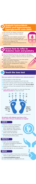## Touch the toes test

#### **Does your patient with diabetes have reduced sensation?**

- Ask the patient to close their eyes
- Tell the patient you are going to touch their toes
- Ask them to tell you which foot you touched, left or right
- l Touch toe number 1 for two seconds gently. *Do not repeat*
- Continue until you have assessed 6 toes as marked on the diagram
- If your patient cannot feel 2 or more toes they have *reduced sensation* for their foot check



(The Ipswich Touch Test reproduced with permission from Diabetes UK)

### **All patients with diabetes must have a foot check within 24 hours of admission to hospital**

## **CHECK**

- **Remove socks/dressings/bandages**
- $\bullet$  Is there an active foot problem Ulcer? Gangrene? Black necrotic tissue? Black toes? Exposed bone?
- Is there reduced sensation? Follow 'Touch the toes test'
- **Document your foot check according** to local documentation policy

## **PROTECT**

- **Apply new dressings/bandages** (use wound management guideline or patient's care plan)
- l Ensure heels are offloaded as per Trust policy
- Check feet daily for any new problems

### REFER

● Active foot problem? Know how and where to make an urgent podiatry referral in your locality

### See **www.knowdiabetes.org.uk**

for more information on diabetes foot care